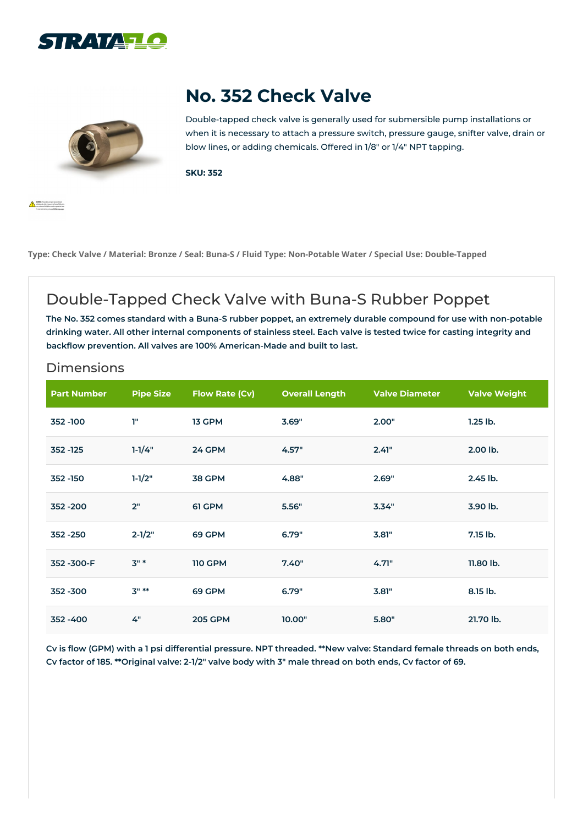



**A** state him

# **No. 352 Check Valve**

Double-tapped check valve is generally used for submersible pump installations or when it is necessary to attach a pressure switch, pressure gauge, snifter valve, drain or blow lines, or adding chemicals. Offered in 1/8″ or 1/4″ NPT tapping.

**SKU: 352**

Type: Check Valve / Material: Bronze / Seal: Buna-S / Fluid Type: Non-Potable Water / Special Use: Double-Tapped

### Double-Tapped Check Valve with Buna-S Rubber Poppet

The No. 352 comes standard with a Buna-S rubber poppet, an extremely durable compound for use with non-potable drinking water. All other internal components of stainless steel. Each valve is tested twice for casting integrity and **backflow prevention. All valves are 100% American-Made and built to last.**

#### Dimensions

| <b>Part Number</b> | <b>Pipe Size</b> | Flow Rate (Cv) | <b>Overall Length</b> | <b>Valve Diameter</b> | <b>Valve Weight</b> |
|--------------------|------------------|----------------|-----------------------|-----------------------|---------------------|
| 352 - 100          | T"               | 13 GPM         | 3.69"                 | 2.00"                 | $1.25$ lb.          |
| 352 - 125          | $1-1/4"$         | 24 GPM         | 4.57"                 | 2.41"                 | 2.00 lb.            |
| 352 - 150          | $1-1/2"$         | <b>38 GPM</b>  | 4.88"                 | 2.69"                 | $2.45$ lb.          |
| 352 - 200          | 2"               | 61 GPM         | 5.56"                 | 3.34"                 | 3.90 lb.            |
| 352 - 250          | $2 - 1/2"$       | 69 GPM         | 6.79"                 | 3.81"                 | 7.15 lb.            |
| 352-300-F          | $3"$ *           | <b>110 GPM</b> | 7.40"                 | 4.71"                 | 11.80 lb.           |
| 352 - 300          | $3" *$           | 69 GPM         | 6.79"                 | 3.81"                 | 8.15 lb.            |
| 352 - 400          | 4"               | <b>205 GPM</b> | 10.00"                | 5.80"                 | 21.70 lb.           |

Cv is flow (GPM) with a 1 psi differential pressure. NPT threaded. \*\*New valve: Standard female threads on both ends, Cv factor of 185. \*\* Original valve: 2-1/2" valve body with 3" male thread on both ends, Cv factor of 69.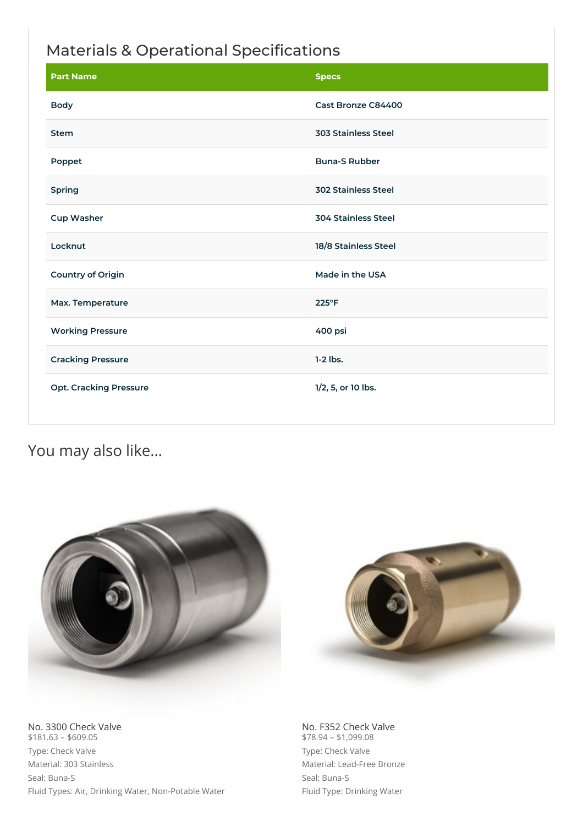### Materials & Operational Specifications

| <b>Part Name</b>              | <b>Specs</b>               |  |
|-------------------------------|----------------------------|--|
| <b>Body</b>                   | Cast Bronze C84400         |  |
| <b>Stem</b>                   | <b>303 Stainless Steel</b> |  |
| Poppet                        | <b>Buna-S Rubber</b>       |  |
| Spring                        | <b>302 Stainless Steel</b> |  |
| <b>Cup Washer</b>             | <b>304 Stainless Steel</b> |  |
| Locknut                       | 18/8 Stainless Steel       |  |
| <b>Country of Origin</b>      | Made in the USA            |  |
| Max. Temperature              | $225^{\circ}F$             |  |
| <b>Working Pressure</b>       | 400 psi                    |  |
| <b>Cracking Pressure</b>      | $1-2$ lbs.                 |  |
| <b>Opt. Cracking Pressure</b> | 1/2, 5, or 10 lbs.         |  |

## You may also like…





No. 3300 Check Valve  $$181.63 - $609.05$ Type: Check Valve Material: 303 Stainless Seal: Buna-S Fluid Types: Air, Drinking Water, Non-Potable Water No. F352 Check Valve  $$78.94 - $1,099.08$ Type: Check Valve Material: Lead-Free Bronze Seal: Buna-S Fluid Type: Drinking Water